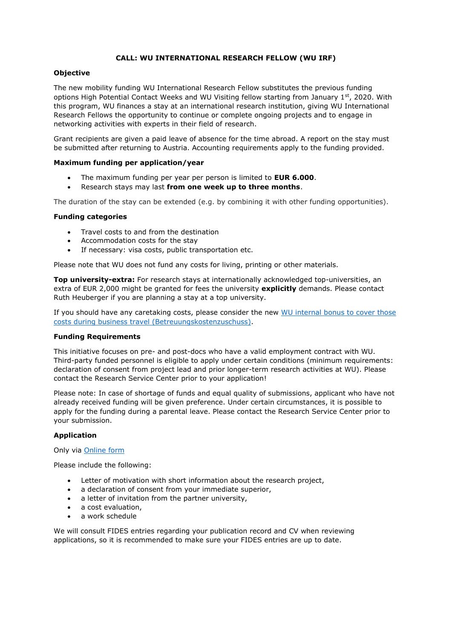### **CALL: WU INTERNATIONAL RESEARCH FELLOW (WU IRF)**

### **Objective**

The new mobility funding WU International Research Fellow substitutes the previous funding options High Potential Contact Weeks and WU Visiting fellow starting from January 1st, 2020. With this program, WU finances a stay at an international research institution, giving WU International Research Fellows the opportunity to continue or complete ongoing projects and to engage in networking activities with experts in their field of research.

Grant recipients are given a paid leave of absence for the time abroad. A report on the stay must be submitted after returning to Austria. Accounting requirements apply to the funding provided.

#### **Maximum funding per application/year**

- The maximum funding per year per person is limited to **EUR 6.000**.
- Research stays may last **from one week up to three months**.

The duration of the stay can be extended (e.g. by combining it with other funding opportunities).

#### **Funding categories**

- Travel costs to and from the destination
- Accommodation costs for the stay
- If necessary: visa costs, public transportation etc.

Please note that WU does not fund any costs for living, printing or other materials.

**Top university-extra:** For research stays at internationally acknowledged top-universities, an extra of EUR 2,000 might be granted for fees the university **explicitly** demands. Please contact Ruth Heuberger if you are planning a stay at a top university.

If you should have any caretaking costs, please consider the new [WU internal bonus to cover those](https://bach.wu.ac.at/d/grants/1116/)  [costs during business travel \(Betreuungskostenzuschuss\).](https://bach.wu.ac.at/d/grants/1116/)

#### **Funding Requirements**

This initiative focuses on pre- and post-docs who have a valid employment contract with WU. Third-party funded personnel is eligible to apply under certain conditions (minimum requirements: declaration of consent from project lead and prior longer-term research activities at WU). Please contact the Research Service Center prior to your application!

Please note: In case of shortage of funds and equal quality of submissions, applicant who have not already received funding will be given preference. Under certain circumstances, it is possible to apply for the funding during a parental leave. Please contact the Research Service Center prior to your submission.

#### **Application**

#### Only via [Online form](https://www.wu.ac.at/mitarbeitende/infos-fuer-forschende/forschungsfoerderung/forschungsfoerderungs-datenbank/antragsformulare/application-wu-international-research-fellow)

Please include the following:

- Letter of motivation with short information about the research project,
- a declaration of consent from your immediate superior,
- a letter of invitation from the partner university,
- a cost evaluation,
- a work schedule

We will consult FIDES entries regarding your publication record and CV when reviewing applications, so it is recommended to make sure your FIDES entries are up to date.